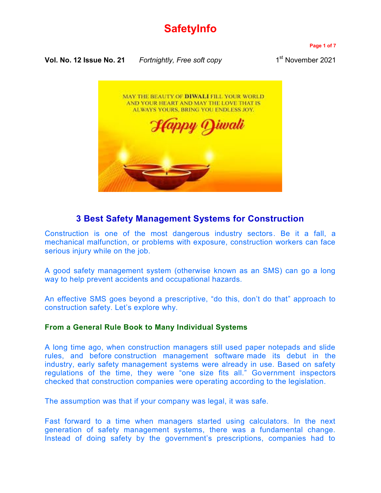# **SafetyInfo**

**Vol. No. 12 Issue No. 21** *Fortnightly, Free soft copy* 1

**Page 1 of 7**

1<sup>st</sup> November 2021



# **3 Best Safety Management Systems for Construction**

[Construction is one of the most dangerous industry sectors.](https://blog.capterra.com/13-shocking-construction-injury-statistics/) Be it a fall, a mechanical malfunction, or problems with exposure, construction workers can face serious injury while on the job.

A good safety management system (otherwise known as an SMS) can go a long way to help prevent accidents and occupational hazards.

An effective SMS goes beyond a prescriptive, "do this, don't do that" approach to construction safety. Let's explore why.

# **From a General Rule Book to Many Individual Systems**

A long time ago, when construction managers still used paper notepads and slide rules, and before [construction management software](https://www.capterra.com/construction-management-software/) made its debut in the industry, early safety management systems were already in use. Based on safety regulations of the time, they were "one size fits all." Government inspectors checked that construction companies were operating according to the legislation.

The assumption was that if your company was legal, it was safe.

Fast forward to a time when managers started using calculators. In the next generation of safety management systems, there was a fundamental change. Instead of doing safety by the government's prescriptions, companies had to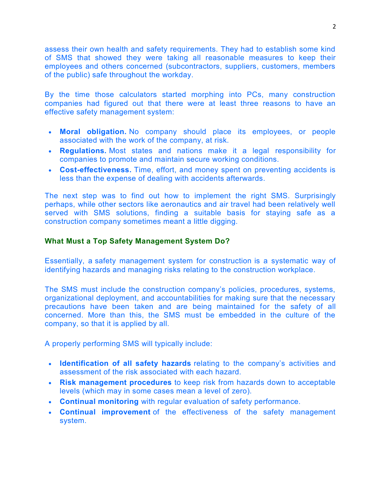assess their own health and safety requirements. They had to establish some kind of SMS that showed they were taking all reasonable measures to keep their employees and others concerned (subcontractors, suppliers, customers, members of the public) safe throughout the workday.

By the time those calculators started morphing into PCs, many construction companies had figured out that there were at least three reasons to have an effective safety management system:

- **Moral obligation.** No company should place its employees, or people associated with the work of the company, at risk.
- **Regulations.** Most states and nations make it a legal responsibility for companies to promote and maintain secure working conditions.
- **Cost-effectiveness.** Time, effort, and money spent on preventing accidents is less than the expense of dealing with accidents afterwards.

The next step was to find out how to implement the right SMS. Surprisingly perhaps, while other sectors like aeronautics and air travel had been relatively well served with SMS solutions, finding a suitable basis for staying safe as a construction company sometimes meant a little digging.

# **What Must a Top Safety Management System Do?**

Essentially, a [safety management system for construction](http://www.oshatrain.org/courses/studyguides/833studyguide.pdf) is a systematic way of identifying hazards and managing risks relating to the construction workplace.

The SMS must include the construction company's policies, procedures, systems, organizational deployment, and accountabilities for making sure that the necessary precautions have been taken and are being maintained for the safety of all concerned. More than this, the SMS must be embedded in the culture of the company, so that it is applied by all.

A properly performing SMS will typically include:

- **Identification of all safety hazards** relating to the company's activities and assessment of the risk associated with each hazard.
- **Risk management procedures** to keep risk from hazards down to acceptable levels (which may in some cases mean a level of zero).
- **Continual monitoring** with regular evaluation of safety performance.
- **Continual improvement** of the effectiveness of the safety management system.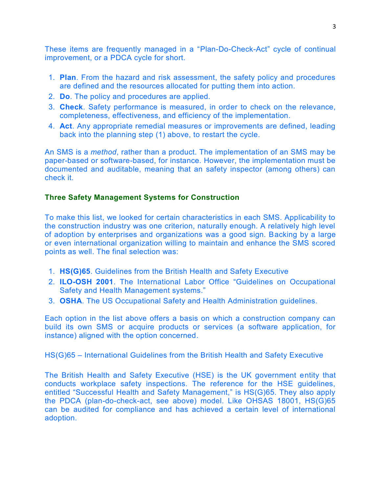These items are frequently managed in a "[Plan-Do-Check-Act](https://www.deming.org/theman/theories/pdsacycle)" cycle of continual improvement, or a PDCA cycle for short.

- 1. **Plan**. From the hazard and risk assessment, the safety policy and procedures are defined and the resources allocated for putting them into action.
- 2. **Do**. The policy and procedures are applied.
- 3. **Check**. Safety performance is measured, in order to check on the relevance, completeness, effectiveness, and efficiency of the implementation.
- 4. **Act**. Any appropriate remedial measures or improvements are defined, leading back into the planning step (1) above, to restart the cycle.

An SMS is a *method*, rather than a product. The implementation of an SMS may be paper-based or software-based, for instance. However, the implementation must be documented and auditable, meaning that an safety inspector (among others) can check it.

# **Three Safety Management Systems for Construction**

To make this list, we looked for certain characteristics in each SMS. Applicability to the construction industry was one criterion, naturally enough. A relatively high level of adoption by enterprises and organizations was a good sign. Backing by a large or even international organization willing to maintain and enhance the SMS scored points as well. The final selection was:

- 1. **[HS\(G\)65](http://www.hse.gov.uk/pubns/books/hsg65.htm)**. Guidelines from the British Health and Safety Executive
- 2. **[ILO-OSH 2001](http://www.ilo.org/global/publications/ilo-bookstore/order-online/books/WCMS_PUBL_9221116344_EN/lang--en/index.htm)**. The International Labor Office "Guidelines on Occupational Safety and Health Management systems."
- 3. **[OSHA](https://www.osha.gov/)**. The US Occupational Safety and Health Administration guidelines.

Each option in the list above offers a basis on which a construction company can build its own SMS or acquire products or services (a software application, for instance) aligned with the option concerned.

HS(G)65 – International Guidelines from the British Health and Safety Executive

The British Health and Safety Executive (HSE) is the UK government entity that conducts workplace safety inspections. The reference for the HSE guidelines, entitled "Successful Health and Safety Management," is HS(G)65. They also apply the PDCA (plan-do-check-act, see above) model. Like OHSAS 18001, HS(G)65 can be audited for compliance and has achieved a certain level of international adoption.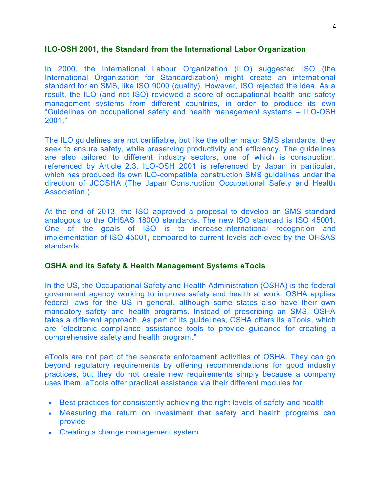#### **ILO-OSH 2001, the Standard from the International Labor Organization**

In 2000, the International Labour Organization (ILO) suggested ISO (the International Organization for Standardization) might create an international standard for an SMS, like ISO 9000 (quality). However, ISO rejected the idea. As a result, the ILO (and not ISO) reviewed a score of occupational health and safety management systems from different countries, in order to produce its own "[Guidelines on occupational safety and health management systems](http://www.ilo.org/wcmsp5/groups/public/%40ed_protect/%40protrav/%40safework/documents/normativeinstrument/wcms_107727.pdf) – ILO-OSH [2001](http://www.ilo.org/wcmsp5/groups/public/%40ed_protect/%40protrav/%40safework/documents/normativeinstrument/wcms_107727.pdf)."

The ILO guidelines are not certifiable, but like the other major SMS standards, they seek to ensure safety, while preserving productivity and efficiency. The quidelines are also tailored to different industry sectors, one of which is construction, referenced by Article 2.3. ILO-OSH 2001 is referenced by Japan in particular, which has produced its own ILO-compatible construction SMS guidelines under the direction of JCOSHA (The Japan Construction Occupational Safety and Health Association.)

At the end of 2013, the ISO approved a proposal to develop an SMS standard analogous to the OHSAS 18000 standards. The new ISO standard is ISO 45001. One of the goals of ISO is to increase [international recognition and](https://en.wikipedia.org/wiki/OHSAS_18001)  [implementation](https://en.wikipedia.org/wiki/OHSAS_18001) of ISO 45001, compared to current levels achieved by the OHSAS standards.

#### **OSHA and its Safety & Health Management Systems eTools**

In the US, the Occupational Safety and Health Administration (OSHA) is the federal government agency working to improve safety and health at work. OSHA applies federal laws for the US in general, although some states also have their own mandatory safety and health programs. Instead of prescribing an SMS, OSHA takes a different approach. As part of its guidelines, [OSHA offers its eTools,](https://www.osha.gov/SLTC/etools/safetyhealth/index.html) which are "[electronic compliance assistance tools to provide guidance for creating a](https://www.osha.gov/SLTC/etools/safetyhealth/)  [comprehensive safety and health program](https://www.osha.gov/SLTC/etools/safetyhealth/)."

eTools are not part of the separate enforcement activities of OSHA. They can go beyond regulatory requirements by offering recommendations for good industry practices, but they do not create new requirements simply because a company uses them. eTools offer practical assistance via their different modules for:

- Best practices for consistently achieving the right levels of safety and health
- Measuring the return on investment that safety and health programs can provide
- Creating a change management system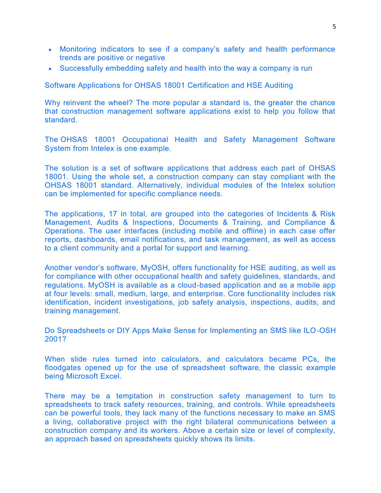- Monitoring indicators to see if a company's safety and health performance trends are positive or negative
- Successfully embedding safety and health into the way a company is run

Software Applications for OHSAS 18001 Certification and HSE Auditing

Why reinvent the wheel? The more popular a standard is, the greater the chance that construction management software applications exist to help you follow that standard.

The [OHSAS 18001 Occupational Health and Safety Management Software](http://www.intelex.com/landing/ohsas-18001-safety-management-software-system)  [System](http://www.intelex.com/landing/ohsas-18001-safety-management-software-system) from Intelex is one example.

The solution is a set of software applications that address each part of OHSAS 18001. Using the whole set, a construction company can stay compliant with the OHSAS 18001 standard. Alternatively, individual modules of the Intelex solution can be implemented for specific compliance needs.

The applications, 17 in total, are grouped into the categories of Incidents & Risk Management, Audits & Inspections, Documents & Training, and Compliance & Operations. The user interfaces (including mobile and offline) in each case offer reports, dashboards, email notifications, and task management, as well as access to a client community and a portal for support and learning.

Another vendor's software, [MyOSH,](http://myosh.com/) offers functionality for HSE auditing, as well as for compliance with other occupational health and safety guidelines, standards, and regulations. MyOSH is available as a cloud-based application and as a mobile app at four levels: small, medium, large, and enterprise. Core functionality includes risk identification, incident investigations, job safety analysis, inspections, audits, and training management.

Do Spreadsheets or DIY Apps Make Sense for Implementing an SMS like ILO-OSH 2001?

When slide rules turned into calculators, and calculators became PCs, the floodgates opened up for the use of spreadsheet software, [the classic example](https://blog.capterra.com/3-reasons-managing-projects-in-excel-hurts-your-bottom-line/)  [being Microsoft Excel.](https://blog.capterra.com/3-reasons-managing-projects-in-excel-hurts-your-bottom-line/)

There may be a temptation in construction safety management to turn to spreadsheets to track safety resources, training, and controls. While spreadsheets can be powerful tools, they lack many of the functions necessary to make an SMS a living, collaborative project with the right bilateral communications between a construction company and its workers. Above a certain size or level of complexity, an approach based on spreadsheets quickly shows its limits.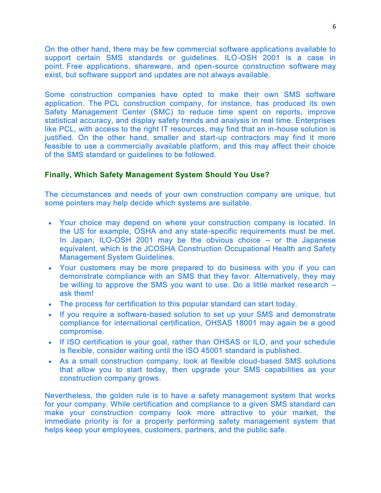On the other hand, there may be few commercial software applications available to support certain SMS standards or guidelines. ILO-OSH 2001 is a case in point. [Free applications, shareware, and open-source construction software](https://blog.capterra.com/top-4-free-and-open-source-construction-management-software/) may exist, but software support and updates are not always available.

Some construction companies have opted to make their own SMS software application. The [PCL construction company,](http://www.pcl.com/Services-that-Deliver/Technology-and-Innovation/Pages/SMC.aspx) for instance, has produced its own Safety Management Center (SMC) to reduce time spent on reports, improve statistical accuracy, and display safety trends and analysis in real time. Enterprises like PCL, with access to the right IT resources, may find that an in-house solution is justified. On the other hand, smaller and start-up contractors may find it more feasible to use a commercially available platform, and this may affect their choice of the SMS standard or guidelines to be followed.

### **Finally, Which Safety Management System Should You Use?**

The circumstances and needs of your own construction company are unique, but some pointers may help decide which systems are suitable.

- Your choice may depend on where your construction company is located. In the US for example, OSHA and any state-specific requirements must be met. In Japan, ILO-OSH 2001 may be the obvious choice – or the Japanese equivalent, which is the JCOSHA Construction Occupational Health and Safety Management System Guidelines.
- Your customers may be more prepared to do business with you if you can demonstrate compliance with an SMS that they favor. Alternatively, they may be willing to approve the SMS you want to use. Do a little market research – ask them!
- The process for certification to this popular standard can start today.
- If you require a software-based solution to set up your SMS and demonstrate compliance for international certification, OHSAS 18001 may again be a good compromise.
- If ISO certification is your goal, rather than OHSAS or ILO, and your schedule is flexible, consider waiting until the ISO 45001 standard is published.
- As a small construction company, look at flexible cloud-based SMS solutions that allow you to start today, then upgrade your SMS capabilities as your construction company grows.

Nevertheless, the golden rule is to have a safety management system that works for your company. While certification and compliance to a given SMS standard can make your construction company look more attractive to your market, the immediate priority is for a properly performing safety management system that helps keep your employees, customers, partners, and the public safe.